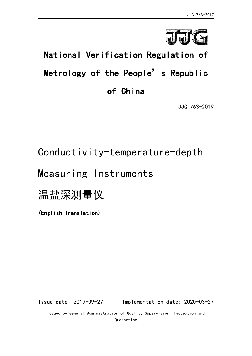

# National Verification Regulation of Metrology of the People's Republic of China

JJG 763-2019

# Conductivity-temperature-depth

# Measuring Instruments

# 温盐深测量仪

(English Translation)

Issue date: 2019-09-27 Implementation date: 2020-03-27

Issued by General Administration of Quality Supervision, Inspection and Quarantine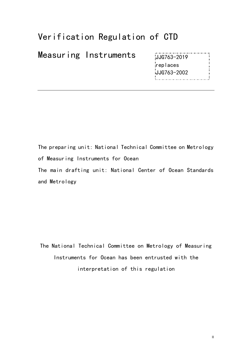# Verification Regulation of CTD

Measuring Instruments

JJG763-2019 replaces JJG763-2002

The preparing unit: National Technical Committee on Metrology of Measuring Instruments for Ocean The main drafting unit: National Center of Ocean Standards and Metrology

The National Technical Committee on Metrology of Measuring Instruments for Ocean has been entrusted with the interpretation of this regulation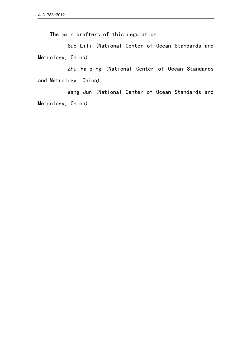The main drafters of this regulation:

Suo Lili (National Center of Ocean Standards and Metrology, China)

Zhu Haiqing (National Center of Ocean Standards and Metrology, China)

 Wang Jun (National Center of Ocean Standards and Metrology, China)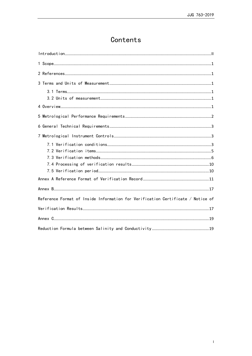# Contents

| Reference Format of Inside Information for Verification Certificate / Notice of |
|---------------------------------------------------------------------------------|
|                                                                                 |
|                                                                                 |
|                                                                                 |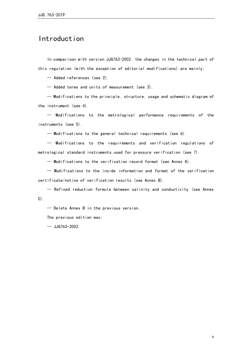# Introduction

In comparison with version JJG763-2002, the changes in the technical part of this regulation (with the exception of editorial modifications) are mainly:

-- Added references (see 2).

-- Added terms and units of measurement (see 3).

-- Modifications to the principle, structure, usage and schematic diagram of the instrument (see 4).

-- Modifications to the metrological performance requirements of the instruments (see 5).

-- Modifications to the general technical requirements (see 6).

-- Modifications to the requirements and verification regulations of metrological standard instruments used for pressure verification (see 7).

-- Modifications to the verification record format (see Annex A).

-- Modifications to the inside information and format of the verification certificate/notice of verification results (see Annex B).

-- Refined reduction formula between salinity and conductivity (see Annex  $C)$ .

-- Delete Annex B in the previous version.

The previous edition was:

 $-$  JJG763-2002.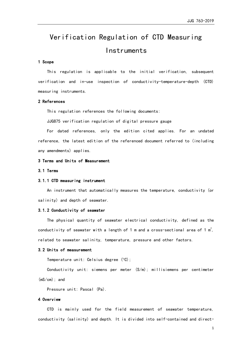# Verification Regulation of CTD Measuring Instruments

#### 1 Scope

This regulation is applicable to the initial verification, subsequent verification and in-use inspection of conductivity-temperature-depth (CTD) measuring instruments.

#### 2 References

This regulation references the following documents:

JJG875 verification regulation of digital pressure gauge

For dated references, only the edition cited applies. For an undated reference, the latest edition of the referenced document referred to (including any amendments) applies.

#### 3 Terms and Units of Measurement

#### 3.1 Terms

#### 3.1.1 CTD measuring instrument

An instrument that automatically measures the temperature, conductivity (or salinity) and depth of seawater.

#### 3.1.2 Conductivity of seawater

The physical quantity of seawater electrical conductivity, defined as the conductivity of seawater with a length of 1 m and a cross-sectional area of 1  $\mathrm{m}^2$ , related to seawater salinity, temperature, pressure and other factors.

#### 3.2 Units of measurement

Temperature unit: Celsius degree  $(°C)$ ;

Conductivity unit: siemens per meter (S/m); millisiemens per centimeter (mS/cm); and

Pressure unit: Pascal (Pa).

#### 4 Overview

CTD is mainly used for the field measurement of seawater temperature, conductivity (salinity) and depth. It is divided into self-contained and direct-

1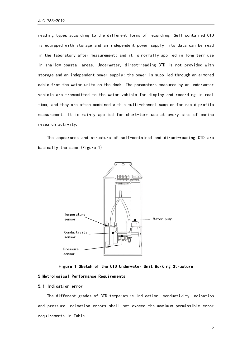reading types according to the different forms of recording. Self-contained CTD is equipped with storage and an independent power supply; its data can be read in the laboratory after measurement; and it is normally applied in long-term use in shallow coastal areas. Underwater, direct-reading CTD is not provided with storage and an independent power supply: the power is supplied through an armored cable from the water units on the deck. The parameters measured by an underwater vehicle are transmitted to the water vehicle for display and recording in real time, and they are often combined with a multi-channel sampler for rapid profile measurement. It is mainly applied for short-term use at every site of marine research activity.

The appearance and structure of self-contained and direct-reading CTD are basically the same (Figure 1).





#### 5 Metrological Performance Requirements

#### 5.1 Indication error

The different grades of CTD temperature indication, conductivity indication and pressure indication errors shall not exceed the maximum permissible error requirements in Table 1.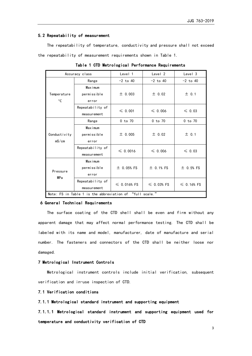#### 5.2 Repeatability of measurement

The repeatability of temperature, conductivity and pressure shall not exceed the repeatability of measurement requirements shown in Table 1.

|              | Accuracy class                                           | Level 1          | Level 2         | Level 3          |  |
|--------------|----------------------------------------------------------|------------------|-----------------|------------------|--|
|              | Range                                                    | $-2$ to 40       | $-2$ to 40      | $-2$ to 40       |  |
|              | <b>Maximum</b>                                           |                  |                 |                  |  |
| Temperature  | permissible                                              | ± 0.003          | ± 0.02          | $±$ 0.1          |  |
| $^{\circ}$ C | error                                                    |                  |                 |                  |  |
|              | Repeatability of                                         | $\leq 0.001$     | $\leq 0.006$    | $\leqslant$ 0.03 |  |
|              | measurement                                              |                  |                 |                  |  |
|              | Range                                                    | $0$ to $70$      | $0$ to $70$     | $0$ to $70$      |  |
|              | <b>Maximum</b>                                           |                  |                 |                  |  |
| Conductivity | permissible                                              | ± 0.005          | ± 0.02          | $±$ 0.1          |  |
| mS/cm        | error                                                    |                  |                 |                  |  |
|              | Repeatability of                                         | $\leq 0.0016$    | $\leq 0.006$    | $\leqslant$ 0.03 |  |
|              | measurement                                              |                  |                 |                  |  |
|              | <b>Maximum</b>                                           |                  |                 |                  |  |
| Pressure     | permissible                                              | $±$ 0.05% FS     | $±$ 0.1% FS     | $±$ 0.5% FS      |  |
| MPa          | error                                                    |                  |                 |                  |  |
|              | Repeatability of                                         | $\leq 0.016%$ FS | $\leq$ 0.03% FS | $\leq$ 0.16% FS  |  |
|              | measurement                                              |                  |                 |                  |  |
|              | Note: FS in Table 1 is the abbreviation of "full scale." |                  |                 |                  |  |

Table 1 CTD Metrological Performance Requirements

#### 6 General Technical Requirements

The surface coating of the CTD shell shall be even and firm without any apparent damage that may affect normal performance testing. The CTD shall be labeled with its name and model, manufacturer, date of manufacture and serial number. The fasteners and connectors of the CTD shall be neither loose nor damaged.

#### 7 Metrological Instrument Controls

Metrological instrument controls include initial verification, subsequent verification and in-use inspection of CTD.

#### 7.1 Verification conditions

7.1.1 Metrological standard instrument and supporting equipment

7.1.1.1 Metrological standard instrument and supporting equipment used for temperature and conductivity verification of CTD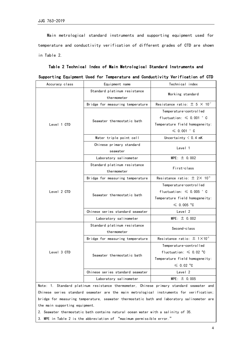Main metrological standard instruments and supporting equipment used for temperature and conductivity verification of different grades of CTD are shown in Table 2.

| Accuracy class          | Equipment name                                   | Technical index                                    |  |  |
|-------------------------|--------------------------------------------------|----------------------------------------------------|--|--|
|                         | Standard platinum resistance<br>thermometer      | Working standard                                   |  |  |
|                         | Bridge for measuring temperature                 | Resistance ratio: $\pm$ 5 $\times$ 10 <sup>7</sup> |  |  |
|                         |                                                  | Temperature-controlled                             |  |  |
|                         | Seawater thermostatic bath                       | fluctuation: $\leq 0.001$ ° C                      |  |  |
| Level 1 CTD             |                                                  | Temperature field homogeneity:                     |  |  |
|                         |                                                  | $\leqslant$ 0.001 $^{\circ}$ C                     |  |  |
|                         | Water triple point cell                          | Uncertainty $\langle 0.4 \text{ mK} \rangle$       |  |  |
|                         | Chinese primary standard                         |                                                    |  |  |
|                         | seawater                                         | Level 1                                            |  |  |
|                         | Laboratory salinometer                           | $MPE: \pm 0.002$                                   |  |  |
|                         | Standard platinum resistance                     | First-class                                        |  |  |
|                         | thermometer                                      |                                                    |  |  |
|                         | Bridge for measuring temperature                 | Resistance ratio: $\pm$ 2× 10 <sup>-6</sup>        |  |  |
|                         |                                                  | Temperature-controlled                             |  |  |
| Level 2 CTD             | Seawater thermostatic bath                       | fluctuation: $\leq 0.005$ ° C                      |  |  |
|                         |                                                  | Temperature field homogeneity:                     |  |  |
|                         |                                                  | $\leqslant$ 0.005 °C                               |  |  |
|                         | Chinese series standard seawater                 | Level <sub>2</sub>                                 |  |  |
|                         | Laboratory salinometer                           | $MPE: \pm 0.002$                                   |  |  |
|                         | Standard platinum resistance                     | Second-class                                       |  |  |
|                         | thermometer                                      |                                                    |  |  |
|                         | Bridge for measuring temperature                 | Resistance ratio: $\pm$ 1×10 <sup>-5</sup>         |  |  |
|                         |                                                  | Temperature-controlled                             |  |  |
| Level 3 CTD             | Seawater thermostatic bath                       | fluctuation: $\leqslant$ 0.02 °C                   |  |  |
|                         |                                                  | Temperature field homogeneity:                     |  |  |
|                         |                                                  | $\leqslant$ 0.02 °C                                |  |  |
|                         | Chinese series standard seawater                 | Level <sub>2</sub>                                 |  |  |
|                         | Laboratory salinometer                           | $MPE: \pm 0.005$                                   |  |  |
| $N_{\alpha+\alpha}$ , 1 | Ctondard platinum resistance thormometer Chinese | nuimauu atandaud aagustau                          |  |  |

Table 2 Technical Index of Main Metrological Standard Instruments and Supporting Equipment Used for Temperature and Conductivity Verification of CTD

Note: 1. Standard platinum resistance thermometer, Chinese primary standard seawater and Chinese series standard seawater are the main metrological instruments for verification; bridge for measuring temperature, seawater thermostatic bath and laboratory salinometer are the main supporting equipment.

2. Seawater thermostatic bath contains natural ocean water with a salinity of 35.

3. MPE in Table 2 is the abbreviation of "maximum permissible error."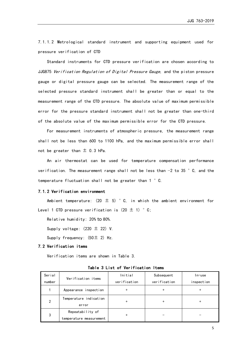7.1.1.2 Metrological standard instrument and supporting equipment used for pressure verification of CTD

Standard instruments for CTD pressure verification are chosen according to JJG875 Verification Regulation of Digital Pressure Gauge, and the piston pressure gauge or digital pressure gauge can be selected. The measurement range of the selected pressure standard instrument shall be greater than or equal to the measurement range of the CTD pressure. The absolute value of maximum permissible error for the pressure standard instrument shall not be greater than one-third of the absolute value of the maximum permissible error for the CTD pressure.

For measurement instruments of atmospheric pressure, the measurement range shall not be less than 600 to 1100 hPa, and the maximum permissible error shall not be greater than  $\pm$  0.3 hPa.

An air thermostat can be used for temperature compensation performance verification. The measurement range shall not be less than −2 to 35 °C, and the temperature fluctuation shall not be greater than 1 °C.

#### 7.1.2 Verification environment

Ambient temperature:  $(20 \pm 5)$  ° C, in which the ambient environment for Level 1 CTD pressure verification is  $(20 \pm 1)$  ° C;

Relative humidity: 20% to 80%.

Supply voltage:  $(220 \pm 22)$  V.

Supply frequency:  $(50 \pm 2)$  Hz.

#### 7.2 Verification items

Verification items are shown in Table 3.

| Serial<br>number | Verification items                          | Initial<br>verification | Subsequent<br>verification | In-use<br>inspection |
|------------------|---------------------------------------------|-------------------------|----------------------------|----------------------|
|                  | Appearance inspection                       | +                       | $\ddot{}$                  | +                    |
| 2                | Temperature indication<br>error             | +                       | $\ddot{}$                  | +                    |
| 3                | Repeatability of<br>temperature measurement | +                       |                            |                      |

Table 3 List of Verification Items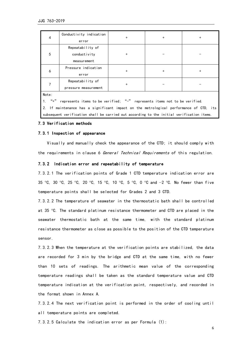| 4                                                                                   | Conductivity indication | $\ddot{}$ | $+$ | $\ddot{}$ |  |  |  |
|-------------------------------------------------------------------------------------|-------------------------|-----------|-----|-----------|--|--|--|
|                                                                                     | error                   |           |     |           |  |  |  |
|                                                                                     | Repeatability of        |           |     |           |  |  |  |
| 5                                                                                   | conductivity            | $\ddot{}$ |     |           |  |  |  |
|                                                                                     | measurement             |           |     |           |  |  |  |
|                                                                                     | Pressure indication     |           |     |           |  |  |  |
| 6                                                                                   | error                   | $\ddot{}$ | $+$ | $\ddot{}$ |  |  |  |
|                                                                                     | Repeatability of        |           |     |           |  |  |  |
|                                                                                     | pressure measurement    | $\ddot{}$ |     |           |  |  |  |
| Note:                                                                               |                         |           |     |           |  |  |  |
| $"$ +"<br>represents items to be verified; "-" represents items not to be verified. |                         |           |     |           |  |  |  |

2. If maintenance has a significant impact on the metrological performance of CTD, its subsequent verification shall be carried out according to the initial verification items.

#### 7.3 Verification methods

#### 7.3.1 Inspection of appearance

Visually and manually check the appearance of the CTD; it should comply with the requirements in clause 6 General Technical Requirements of this regulation.

#### 7.3.2 Indication error and repeatability of temperature

7.3.2.1 The verification points of Grade 1 CTD temperature indication error are 35 °C, 30 °C, 25 °C, 20 °C, 15 °C, 10 °C, 5 °C, 0 °C and  $-2$  °C. No fewer than five temperature points shall be selected for Grades 2 and 3 CTD.

7.3.2.2 The temperature of seawater in the thermostatic bath shall be controlled at 35 °C. The standard platinum resistance thermometer and CTD are placed in the seawater thermostatic bath at the same time, with the standard platinum resistance thermometer as close as possible to the position of the CTD temperature sensor.

7.3.2.3 When the temperature at the verification points are stabilized, the data are recorded for 3 min by the bridge and CTD at the same time, with no fewer than 10 sets of readings. The arithmetic mean value of the corresponding temperature readings shall be taken as the standard temperature value and CTD temperature indication at the verification point, respectively, and recorded in the format shown in Annex A.

7.3.2.4 The next verification point is performed in the order of cooling until all temperature points are completed.

7.3.2.5 Calculate the indication error as per Formula (1):

6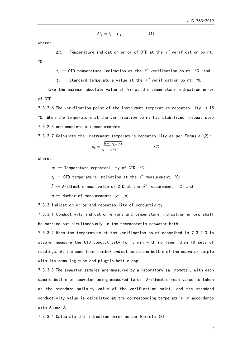$$
\Delta t_i = t_i - t_{is} \tag{1}
$$

where:

 $\Delta t$ ,-- Temperature indication error of CTD at the  $i^{th}$  verification point,  $^{\circ}$ C:

 $t_i$  -- CTD temperature indication at the  $i^{th}$  verification point,  $\partial C$ ; and

 $t_{is}$  — Standard temperature value at the  $i^{th}$  verification point,  $^\circ$ C.

Take the maximum absolute value of  $\Delta t_i$  as the temperature indication error of CTD.

7.3.2.6 The verification point of the instrument temperature repeatability is 15  $°C.$  When the temperature at the verification point has stabilized, repeat step 7.3.2.3 and complete six measurements.

7.3.2.7 Calculate the instrument temperature repeatability as per Formula (2):

$$
\sigma_t = \sqrt{\frac{\sum_{i=1}^n (t_i - \bar{t})^2}{n-1}} \tag{2}
$$

where:

 $\sigma_t$  -- Temperature repeatability of CTD, °C;  $t_i$  -- CTD temperature indication at the  $\ell^{\text{th}}$  measurement,  $^{\circ}$ C;

 $\bar{t}$  -- Arithmetic mean value of CTD at the  $n^{\text{th}}$  measurement,  $^\circ \text{C}$ ; and

 $n$  -- Number of measurements ( $n = 6$ ).

7.3.3 Indication error and repeatability of conductivity

7.3.3.1 Conductivity indication errors and temperature indication errors shall be carried out simultaneously in the thermostatic seawater bath.

7.3.3.2 When the temperature at the verification point described in 7.3.2.3 is stable, measure the CTD conductivity for 3 min with no fewer than 10 sets of readings. At the same time, number and set aside one bottle of the seawater sample with its sampling tube and plug-in bottle cap.

7.3.3.3 The seawater samples are measured by a laboratory salinometer, with each sample bottle of seawater being measured twice. Arithmetic mean value is taken as the standard salinity value of the verification point, and the standard conductivity value is calculated at the corresponding temperature in accordance with Annex C.

7.3.3.4 Calculate the indication error as per Formula (3):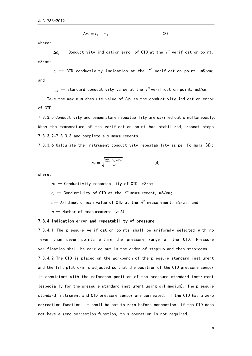$$
\Delta c_i = c_i - c_{is} \tag{3}
$$

where:

∆ $c_i$  -- Conductivity indication error of CTD at the  $i^{\rm \scriptscriptstyle th}$  verification point, mS/cm;

 $c_i$  -- CTD conductivity indication at the  $i^{\rm th}$  verification point, mS/cm; and

 $c_{is}$  — Standard conductivity value at the  $i^{th}$  verification point, mS/cm.

Take the maximum absolute value of  $\Delta c_i$  as the conductivity indication error of CTD.

7.3.3.5 Conductivity and temperature repeatability are carried out simultaneously. When the temperature of the verification point has stabilized, repeat steps 7.3.3.2–7.3.3.3 and complete six measurements.

7.3.3.6 Calculate the instrument conductivity repeatability as per Formula (4):

$$
\sigma_c = \sqrt{\frac{\sum_{i=1}^{n} (c_i - \bar{c})^2}{n - 1}}
$$
 (4)

where:

 $\sigma_c$  -- Conductivity repeatability of CTD, mS/cm;  $c_i$  -- Conductivity of CTD at the  $i^{th}$  measurement, mS/cm;  $\bar{c}$ -- Arithmetic mean value of CTD at the  $n^{\text{th}}$  measurement, mS/cm; and  $n$  -- Number of measurements ( $n=6$ ).

#### 7.3.4 Indication error and repeatability of pressure

7.3.4.1 The pressure verification points shall be uniformly selected with no fewer than seven points within the pressure range of the CTD. Pressure verification shall be carried out in the order of step-up and then step-down. 7.3.4.2 The CTD is placed on the workbench of the pressure standard instrument and the lift platform is adjusted so that the position of the CTD pressure sensor is consistent with the reference position of the pressure standard instrument (especially for the pressure standard instrument using oil medium). The pressure standard instrument and CTD pressure sensor are connected. If the CTD has a zero correction function, it shall be set to zero before connection; if the CTD does not have a zero correction function, this operation is not required.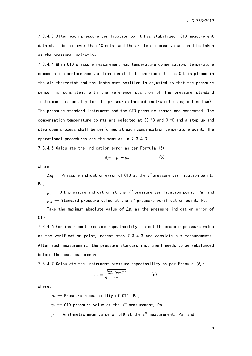7.3.4.3 After each pressure verification point has stabilized, CTD measurement data shall be no fewer than 10 sets, and the arithmetic mean value shall be taken as the pressure indication.

7.3.4.4 When CTD pressure measurement has temperature compensation, temperature compensation performance verification shall be carried out. The CTD is placed in the air thermostat and the instrument position is adjusted so that the pressure sensor is consistent with the reference position of the pressure standard instrument (especially for the pressure standard instrument using oil medium). The pressure standard instrument and the CTD pressure sensor are connected. The compensation temperature points are selected at 30  $\degree$ C and 0  $\degree$ C and a step-up and step-down process shall be performed at each compensation temperature point. The operational procedures are the same as in 7.3.4.3.

7.3.4.5 Calculate the indication error as per Formula (5):

$$
\Delta p_i = p_i - p_{is} \tag{5}
$$

where:

 $\Delta p_i$  -- Pressure indication error of CTD at the  $i^{th}$ pressure verification point, Pa;

 $p_i$  -- CTD pressure indication at the  $i^{\scriptscriptstyle th}$  pressure verification point, Pa; and  $p_{is}$  -- Standard pressure value at the  $i^{\prime\prime}$  pressure verification point, Pa.

Take the maximum absolute value of  $\Delta p_i$  as the pressure indication error of CTD.

7.3.4.6 For instrument pressure repeatability, select the maximum pressure value as the verification point, repeat step 7.3.4.3 and complete six measurements. After each measurement, the pressure standard instrument needs to be rebalanced before the next measurement.

7.3.4.7 Calculate the instrument pressure repeatability as per Formula (6):

$$
\sigma_p = \sqrt{\frac{\sum_{i=1}^{n} (p_i - \bar{p})^2}{n-1}}
$$
 (6)

where:

 $\sigma_{p}$  -- Pressure repeatability of CTD, Pa;

 $p_i$  -- CTD pressure value at the  $i^{\rm th}$  measurement, Pa;

 $\bar{p}$  -- Arithmetic mean value of CTD at the  ${\color{black} n^{\scriptscriptstyle\text{th}}}$  measurement, Pa; and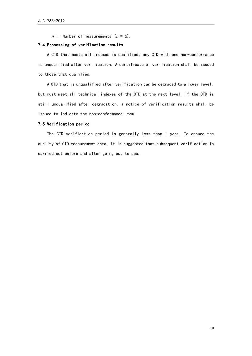$n$  -- Number of measurements ( $n = 6$ ).

#### 7.4 Processing of verification results

A CTD that meets all indexes is qualified; any CTD with one non-conformance is unqualified after verification. A certificate of verification shall be issued to those that qualified.

A CTD that is unqualified after verification can be degraded to a lower level, but must meet all technical indexes of the CTD at the next level. If the CTD is still unqualified after degradation, a notice of verification results shall be issued to indicate the non-conformance item.

#### 7.5 Verification period

The CTD verification period is generally less than 1 year. To ensure the quality of CTD measurement data, it is suggested that subsequent verification is carried out before and after going out to sea.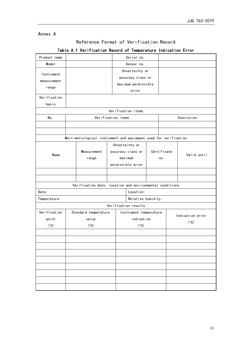#### Annex A

## Reference Format of Verification Record

| Product name |             |                                                                  |                   |            | Serial no.             |  |             |                  |  |  |
|--------------|-------------|------------------------------------------------------------------|-------------------|------------|------------------------|--|-------------|------------------|--|--|
| Model        |             |                                                                  |                   |            | Sensor no.             |  |             |                  |  |  |
| Instrument   |             |                                                                  |                   |            | Uncertainty or         |  |             |                  |  |  |
|              |             |                                                                  |                   |            | accuracy class or      |  |             |                  |  |  |
| measurement  |             |                                                                  |                   |            | maximum permissible    |  |             |                  |  |  |
| range        |             | error                                                            |                   |            |                        |  |             |                  |  |  |
| Verification |             |                                                                  |                   |            |                        |  |             |                  |  |  |
| basis        |             |                                                                  |                   |            |                        |  |             |                  |  |  |
|              |             |                                                                  |                   |            | Verification items     |  |             |                  |  |  |
| No.          |             | Verification items                                               |                   |            |                        |  |             | Conclusion       |  |  |
|              |             |                                                                  |                   |            |                        |  |             |                  |  |  |
|              |             |                                                                  |                   |            |                        |  |             |                  |  |  |
|              |             | Main metrological instrument and equipment used for verification |                   |            |                        |  |             |                  |  |  |
|              |             |                                                                  |                   |            | Uncertainty or         |  |             |                  |  |  |
| Name         | Measurement |                                                                  |                   |            | accuracy class or      |  | Certificate | Valid until      |  |  |
|              |             | range                                                            |                   |            | maximum                |  | no.         |                  |  |  |
|              |             |                                                                  | permissible error |            |                        |  |             |                  |  |  |
|              |             |                                                                  |                   |            |                        |  |             |                  |  |  |
|              |             |                                                                  |                   |            |                        |  |             |                  |  |  |
|              |             | Verification date, location and environmental conditions         |                   |            |                        |  |             |                  |  |  |
| Date:        |             |                                                                  |                   |            | Location:              |  |             |                  |  |  |
| Temperature: |             |                                                                  |                   |            | Relative humidity:     |  |             |                  |  |  |
|              |             |                                                                  |                   |            | Verification results   |  |             |                  |  |  |
| Verification |             | Standard temperature                                             |                   |            | Instrument temperature |  |             | Indication error |  |  |
| point        |             | value                                                            |                   | indication |                        |  |             | (°C)             |  |  |
| (°C)         |             | (°C)                                                             |                   |            | $(^\circ \text{C})$    |  |             |                  |  |  |
|              |             |                                                                  |                   |            |                        |  |             |                  |  |  |
|              |             |                                                                  |                   |            |                        |  |             |                  |  |  |
|              |             |                                                                  |                   |            |                        |  |             |                  |  |  |
|              |             |                                                                  |                   |            |                        |  |             |                  |  |  |
|              |             |                                                                  |                   |            |                        |  |             |                  |  |  |
|              |             |                                                                  |                   |            |                        |  |             |                  |  |  |
|              |             |                                                                  |                   |            |                        |  |             |                  |  |  |
|              |             |                                                                  |                   |            |                        |  |             |                  |  |  |
|              |             |                                                                  |                   |            |                        |  |             |                  |  |  |

### Table A.1 Verification Record of Temperature Indication Error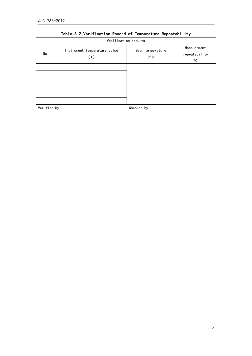| Verification results |                                      |                          |                                      |  |  |  |  |  |  |
|----------------------|--------------------------------------|--------------------------|--------------------------------------|--|--|--|--|--|--|
| No.                  | Instrument temperature value<br>(°C) | Mean temperature<br>(°C) | Measurement<br>repeatability<br>(°C) |  |  |  |  |  |  |
|                      |                                      |                          |                                      |  |  |  |  |  |  |
|                      |                                      |                          |                                      |  |  |  |  |  |  |
|                      |                                      |                          |                                      |  |  |  |  |  |  |
|                      |                                      |                          |                                      |  |  |  |  |  |  |
|                      |                                      |                          |                                      |  |  |  |  |  |  |
|                      |                                      |                          |                                      |  |  |  |  |  |  |

### Table A.2 Verification Record of Temperature Repeatability

Verified by: Checked by: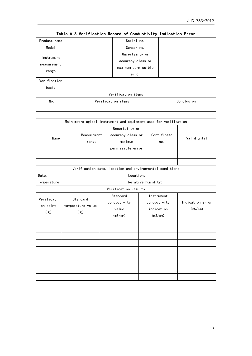| Product name |                                                                  |         |                      | Serial no.         |     |             |                  |  |  |
|--------------|------------------------------------------------------------------|---------|----------------------|--------------------|-----|-------------|------------------|--|--|
| Mode I       | Sensor no.                                                       |         |                      |                    |     |             |                  |  |  |
| Instrument   | Uncertainty or                                                   |         |                      |                    |     |             |                  |  |  |
|              | accuracy class or                                                |         |                      |                    |     |             |                  |  |  |
| measurement  | maximum permissible                                              |         |                      |                    |     |             |                  |  |  |
| range        |                                                                  |         |                      | error              |     |             |                  |  |  |
| Verification |                                                                  |         |                      |                    |     |             |                  |  |  |
| basis        |                                                                  |         |                      |                    |     |             |                  |  |  |
|              |                                                                  |         | Verification items   |                    |     |             |                  |  |  |
| No.          |                                                                  |         | Verification items   |                    |     |             | Conclusion       |  |  |
|              |                                                                  |         |                      |                    |     |             |                  |  |  |
|              |                                                                  |         |                      |                    |     |             |                  |  |  |
|              | Main metrological instrument and equipment used for verification |         |                      |                    |     |             |                  |  |  |
|              |                                                                  |         | Uncertainty or       |                    |     |             |                  |  |  |
|              | Measurement                                                      |         | accuracy class or    |                    |     | Certificate |                  |  |  |
| Name         | range                                                            | maximum |                      |                    | no. | Valid until |                  |  |  |
|              |                                                                  |         | permissible error    |                    |     |             |                  |  |  |
|              |                                                                  |         |                      |                    |     |             |                  |  |  |
|              |                                                                  |         |                      |                    |     |             |                  |  |  |
|              | Verification date, location and environmental conditions         |         |                      |                    |     |             |                  |  |  |
| Date:        |                                                                  |         |                      | Location:          |     |             |                  |  |  |
| Temperature: |                                                                  |         |                      | Relative humidity: |     |             |                  |  |  |
|              |                                                                  |         | Verification results |                    |     |             |                  |  |  |
|              |                                                                  |         | Standard             |                    |     | Instrument  |                  |  |  |
| Verificati   | Standard                                                         |         | conductivity         | conductivity       |     |             | Indication error |  |  |
| on point     | temperature value                                                |         | value                |                    |     | indication  | (mS/cm)          |  |  |
| (°C)         | (°C)                                                             |         | (mS/cm)              |                    |     | (mS/cm)     |                  |  |  |
|              |                                                                  |         |                      |                    |     |             |                  |  |  |
|              |                                                                  |         |                      |                    |     |             |                  |  |  |
|              |                                                                  |         |                      |                    |     |             |                  |  |  |
|              |                                                                  |         |                      |                    |     |             |                  |  |  |
|              |                                                                  |         |                      |                    |     |             |                  |  |  |
|              |                                                                  |         |                      |                    |     |             |                  |  |  |
|              |                                                                  |         |                      |                    |     |             |                  |  |  |
|              |                                                                  |         |                      |                    |     |             |                  |  |  |
|              |                                                                  |         |                      |                    |     |             |                  |  |  |
|              |                                                                  |         |                      |                    |     |             |                  |  |  |

Table A.3 Verification Record of Conductivity Indication Error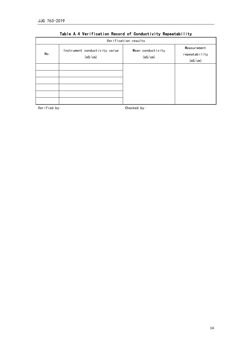| Verification results |                                          |                              |                                         |  |  |  |  |  |  |  |
|----------------------|------------------------------------------|------------------------------|-----------------------------------------|--|--|--|--|--|--|--|
| No.                  | Instrument conductivity value<br>(mS/cm) | Mean conductivity<br>(mS/cm) | Measurement<br>repeatability<br>(mS/cm) |  |  |  |  |  |  |  |
|                      |                                          |                              |                                         |  |  |  |  |  |  |  |
|                      |                                          |                              |                                         |  |  |  |  |  |  |  |
|                      |                                          |                              |                                         |  |  |  |  |  |  |  |

### Table A.4 Verification Record of Conductivity Repeatability

Verified by: Checked by: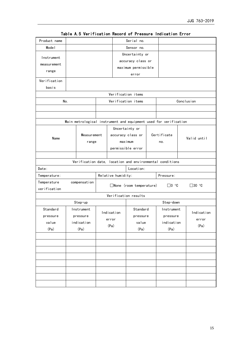| Product name |              |                   |                    | Serial no.                     |  |                                                                  |  |                 |  |
|--------------|--------------|-------------------|--------------------|--------------------------------|--|------------------------------------------------------------------|--|-----------------|--|
| Mode I       |              |                   |                    | Sensor no.                     |  |                                                                  |  |                 |  |
| Instrument   |              |                   |                    | Uncertainty or                 |  |                                                                  |  |                 |  |
| measurement  |              |                   |                    | accuracy class or              |  |                                                                  |  |                 |  |
|              |              |                   |                    | maximum permissible            |  |                                                                  |  |                 |  |
| range        |              |                   |                    | error                          |  |                                                                  |  |                 |  |
| Verification |              |                   |                    |                                |  |                                                                  |  |                 |  |
| basis        |              |                   |                    |                                |  |                                                                  |  |                 |  |
|              |              |                   |                    | Verification items             |  |                                                                  |  |                 |  |
| No.          |              |                   |                    | Verification items             |  |                                                                  |  | Conclusion      |  |
|              |              |                   |                    |                                |  |                                                                  |  |                 |  |
|              |              |                   |                    |                                |  |                                                                  |  |                 |  |
|              |              |                   |                    |                                |  | Main metrological instrument and equipment used for verification |  |                 |  |
|              |              |                   |                    | Uncertainty or                 |  |                                                                  |  |                 |  |
|              | Measurement  |                   |                    | accuracy class or              |  | Certificate                                                      |  |                 |  |
| Name         | range        |                   |                    | maximum                        |  | no.                                                              |  | Valid until     |  |
|              |              | permissible error |                    |                                |  |                                                                  |  |                 |  |
|              |              |                   |                    |                                |  |                                                                  |  |                 |  |
|              |              |                   |                    |                                |  | Verification date, location and environmental conditions         |  |                 |  |
| Date:        |              |                   |                    | Location:                      |  |                                                                  |  |                 |  |
| Temperature: |              |                   | Relative humidity: |                                |  | Pressure:                                                        |  |                 |  |
| Temperature  | compensation |                   |                    |                                |  |                                                                  |  |                 |  |
| verification |              |                   |                    | $\Box$ None (room temperature) |  | $\Box$ 0 $^{\circ}$ C                                            |  | $\square$ 30 °C |  |
|              |              |                   |                    | Verification results           |  |                                                                  |  |                 |  |
|              | Step-up      |                   |                    |                                |  | Step-down                                                        |  |                 |  |
| Standard     | Instrument   |                   | Standard           |                                |  | Instrument                                                       |  |                 |  |
| pressure     | pressure     |                   | Indication         | pressure                       |  | pressure                                                         |  | Indication      |  |
| value        | indication   |                   | error              | value                          |  | indication                                                       |  | error           |  |
| (Pa)         | (Pa)         |                   | (Pa)               | (Pa)                           |  | (Pa)                                                             |  | (Pa)            |  |
|              |              |                   |                    |                                |  |                                                                  |  |                 |  |
|              |              |                   |                    |                                |  |                                                                  |  |                 |  |
|              |              |                   |                    |                                |  |                                                                  |  |                 |  |
|              |              |                   |                    |                                |  |                                                                  |  |                 |  |
|              |              |                   |                    |                                |  |                                                                  |  |                 |  |
|              |              |                   |                    |                                |  |                                                                  |  |                 |  |
|              |              |                   |                    |                                |  |                                                                  |  |                 |  |
|              |              |                   |                    |                                |  |                                                                  |  |                 |  |
|              |              |                   |                    |                                |  |                                                                  |  |                 |  |

Table A.5 Verification Record of Pressure Indication Error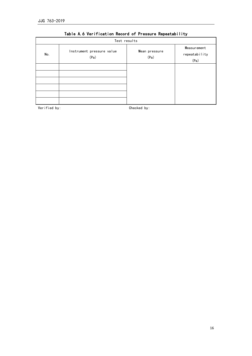|     | Test results                      |                       |                                      |
|-----|-----------------------------------|-----------------------|--------------------------------------|
| No. | Instrument pressure value<br>(Pa) | Mean pressure<br>(Pa) | Measurement<br>repeatability<br>(Pa) |
|     |                                   |                       |                                      |
|     |                                   |                       |                                      |

### Table A.6 Verification Record of Pressure Repeatability

Verified by: Checked by: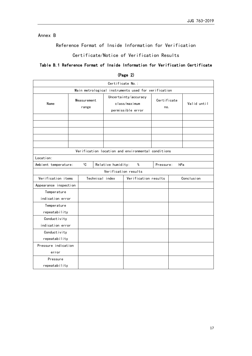### Annex B

Reference Format of Inside Information for Verification

Certificate/Notice of Verification Results

### Table B.1 Reference Format of Inside Information for Verification Certificate

| Certificate No.:                                    |                      |             |                                                            |                                                    |                                      |                    |  |             |            |
|-----------------------------------------------------|----------------------|-------------|------------------------------------------------------------|----------------------------------------------------|--------------------------------------|--------------------|--|-------------|------------|
| Main metrological instruments used for verification |                      |             |                                                            |                                                    |                                      |                    |  |             |            |
| Name                                                | Measurement<br>range |             | Uncertainty/accuracy<br>class/maximum<br>permissible error |                                                    |                                      | Certificate<br>no. |  | Valid until |            |
|                                                     |                      |             |                                                            |                                                    |                                      |                    |  |             |            |
|                                                     |                      |             |                                                            |                                                    |                                      |                    |  |             |            |
|                                                     |                      |             |                                                            |                                                    |                                      |                    |  |             |            |
|                                                     |                      |             |                                                            |                                                    |                                      |                    |  |             |            |
|                                                     |                      |             |                                                            |                                                    |                                      |                    |  |             |            |
|                                                     |                      |             |                                                            | Verification location and environmental conditions |                                      |                    |  |             |            |
| Location:                                           |                      |             |                                                            |                                                    |                                      |                    |  |             |            |
| Ambient temperature:                                |                      | $^{\circ}C$ |                                                            |                                                    | Relative humidity:<br>%<br>Pressure: |                    |  | hPa         |            |
|                                                     |                      |             |                                                            | Verification results                               |                                      |                    |  |             |            |
| Verification items                                  |                      |             |                                                            | Technical index<br>Verification results            |                                      |                    |  |             | Conclusion |
| Appearance inspection                               |                      |             |                                                            |                                                    |                                      |                    |  |             |            |
| Temperature<br>indication error                     |                      |             |                                                            |                                                    |                                      |                    |  |             |            |
| Temperature                                         |                      |             |                                                            |                                                    |                                      |                    |  |             |            |
| repeatability                                       |                      |             |                                                            |                                                    |                                      |                    |  |             |            |
| Conductivity                                        |                      |             |                                                            |                                                    |                                      |                    |  |             |            |
| indication error                                    |                      |             |                                                            |                                                    |                                      |                    |  |             |            |
| Conductivity                                        |                      |             |                                                            |                                                    |                                      |                    |  |             |            |
| repeatability                                       |                      |             |                                                            |                                                    |                                      |                    |  |             |            |
| Pressure indication                                 |                      |             |                                                            |                                                    |                                      |                    |  |             |            |
| error                                               |                      |             |                                                            |                                                    |                                      |                    |  |             |            |
| Pressure                                            |                      |             |                                                            |                                                    |                                      |                    |  |             |            |
| repeatability                                       |                      |             |                                                            |                                                    |                                      |                    |  |             |            |

(Page 2)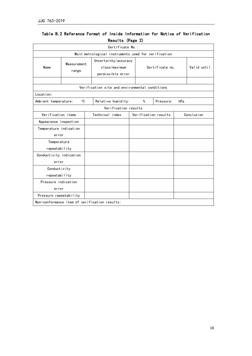|                         |  |  |  |  |  |  |  |  |  | Table B.2 Reference Format of Inside Information for Notice of Verification |
|-------------------------|--|--|--|--|--|--|--|--|--|-----------------------------------------------------------------------------|
| <b>Results (Page 2)</b> |  |  |  |  |  |  |  |  |  |                                                                             |

| Certificate No.:                                    |                      |                                                            |  |                      |                 |  |             |  |  |  |
|-----------------------------------------------------|----------------------|------------------------------------------------------------|--|----------------------|-----------------|--|-------------|--|--|--|
| Main metrological instruments used for verification |                      |                                                            |  |                      |                 |  |             |  |  |  |
| Name                                                | Measurement<br>range | Uncertainty/accuracy<br>class/maximum<br>permissible error |  |                      | Certificate no. |  | Valid until |  |  |  |
|                                                     |                      |                                                            |  |                      |                 |  |             |  |  |  |
| Verification site and environmental conditions      |                      |                                                            |  |                      |                 |  |             |  |  |  |
| Location:                                           |                      |                                                            |  |                      |                 |  |             |  |  |  |
| Ambient temperature:                                | $^{\circ}$ C         | Relative humidity:                                         |  | %                    | Pressure:       |  |             |  |  |  |
| Verification results                                |                      |                                                            |  |                      |                 |  |             |  |  |  |
| Verification items                                  |                      | Technical index                                            |  | Verification results |                 |  | Conclusion  |  |  |  |
| Appearance inspection                               |                      |                                                            |  |                      |                 |  |             |  |  |  |
| Temperature indication                              |                      |                                                            |  |                      |                 |  |             |  |  |  |
| error                                               |                      |                                                            |  |                      |                 |  |             |  |  |  |
| Temperature<br>repeatability                        |                      |                                                            |  |                      |                 |  |             |  |  |  |
| Conductivity indication                             |                      |                                                            |  |                      |                 |  |             |  |  |  |
| error                                               |                      |                                                            |  |                      |                 |  |             |  |  |  |
| Conductivity                                        |                      |                                                            |  |                      |                 |  |             |  |  |  |
| repeatability                                       |                      |                                                            |  |                      |                 |  |             |  |  |  |
| Pressure indication                                 |                      |                                                            |  |                      |                 |  |             |  |  |  |
| error                                               |                      |                                                            |  |                      |                 |  |             |  |  |  |
| Pressure repeatability                              |                      |                                                            |  |                      |                 |  |             |  |  |  |
| Non-conformance item of verification results:       |                      |                                                            |  |                      |                 |  |             |  |  |  |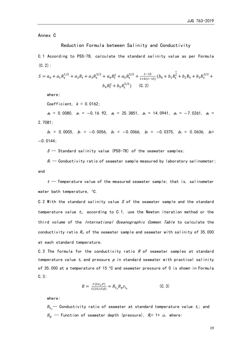Annex C

Reduction Formula between Salinity and Conductivity

C.1 According to PSS-78, calculate the standard salinity value as per Formula  $(C.2)$ :

$$
S = a_0 + a_1 R_t^{1/2} + a_2 R_t + a_3 R_t^{3/2} + a_4 R_t^2 + a_5 R_t^{5/2} + \frac{t^{-15}}{1 + k(t - 15)} (b_0 + b_1 R_t^{\frac{1}{2}} + b_2 R_t + b_3 R_t^{3/2} + b_4 R_t^2 + b_5 R_t^{5/2})
$$
 (C. 2)

where:

Coefficient,  $k = 0.0162$ ;

 $a_0 = 0.0080$ ,  $a_1 = -0.16$  92,  $a_2 = 25.3851$ ,  $a_3 = 14.0941$ ,  $a_4 = -7.0261$ ,  $a_5 =$ 2.7081;

 $b_0$  = 0.0005,  $b_1$  = −0.0056,  $b_2$  = −0.0066,  $b_3$  = −0.0375,  $b_4$  = 0.0636,  $b_5$ = −0.0144;

 $S$  -- Standard salinity value (PSS-78) of the seawater samples;

 $R<sub>t</sub>$  -- Conductivity ratio of seawater sample measured by laboratory salinometer; and

 $t$  -- Temperature value of the measured seawater sample; that is, salinometer water bath temperature, °C.

C.2 With the standard salinity value S of the seawater sample and the standard temperature value  $t_s$ , according to C.1, use the Newton iteration method or the third volume of the *International Oceanographic Common Table* to calculate the conductivity ratio  $R_{ts}$  of the seawater sample and seawater with salinity of 35.000 at each standard temperature.

C.3 The formula for the conductivity ratio  $R$  of seawater samples at standard temperature value  $t_s$  and pressure  $p$  in standard seawater with practical salinity of 35.000 at a temperature of 15  $\degree$ C and seawater pressure of 0 is shown in Formula C.3:

$$
R = \frac{C(S, t_S, P)}{C(35, 15, 0)} = R_{t_S} R_p r_{t_S}
$$
 (C. 3)

where:

 $R_{t_s^{\phantom{\dagger}}}$ -- Conductivity ratio of seawater at standard temperature value  $t_\mathrm{s}$ ; and  $R_n$  -- Function of seawater depth (pressure),  $R_p$ = 1+  $\alpha$ , where: